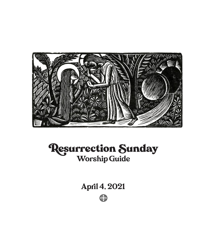

# **Resurrection Sunday** Worship Guide

April 4, 2021

 $\bigcirc \hspace{-7.5mm}$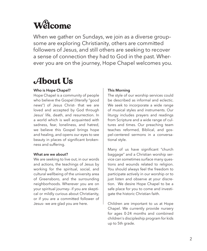# Welcome

When we gather on Sundays, we join as a diverse group– some are exploring Christianity, others are committed followers of Jesus, and still others are seeking to recover a sense of connection they had to God in the past. Wherever you are on the journey, Hope Chapel welcomes you.

# About Us

## **Who is Hope Chapel?**

Hope Chapel is a community of people who believe the Gospel (literally "good news") of Jesus Christ- that we are loved and accepted by God through Jesus' life, death, and resurrection. In a world which is well acquainted with sadness, fear, loneliness, and hatred, we believe this Gospel brings hope and healing, and opens our eyes to see beauty in places of significant brokenness and suffering.

### **What are we about?**

We are seeking to live out, in our words and actions, the teachings of Jesus by working for the spiritual, social, and cultural wellbeing of the university area of Greensboro, and the surrounding neighborhoods. Wherever you are on your spiritual journey– if you are skeptical or mildly curious about Christianity, or if you are a committed follower of Jesus– we are glad you are here.

### **This Morning**

The style of our worship services could be described as informal and eclectic. We seek to incorporate a wide range of musical styles and instruments. Our liturgy includes prayers and readings from Scripture and a wide range of cultures and times. Our preaching team teaches reformed, Biblical, and gospel-centered sermons in a conversational style.

Many of us have significant "church baggage" and a Christian worship service can sometimes surface many questions and wounds related to religion. You should always feel the freedom to participate actively in our worship or to just listen and observe at your discretion. We desire Hope Chapel to be a safe place for you to come and investigate the historic Christian faith.

Children are important to us at Hope Chapel. We currently provide nursery for ages 0-24 months and combined children's discipleship program for kids up to 5th grade.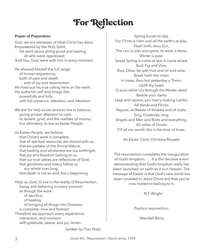# For Reflection

### **Prayer of Preparation**

God, we are witnesses of what Christ has done. Empowered by the Holy Spirit, He went about doing good and healing all who were oppressed; And You, God, were with him in every moment.

He allowed himself the full range of human experience, both of pain and death, and of joy and resurrection. He lived out his true calling here on the earth, His authentic self and Imago Dei, powerfully and fully, with full presence, attention, and intention.

We ask for help as we strive to live in balance, giving proper attention to Lent: to lament, grief, and the realities of trauma, but ultimately, to live as Easter People.

As Easter People, we believe that Christ's work is complete, that all spiritual resources are shared with us, that we partake of the Divine Nature, that healing and wholeness are our birthright, that joy and freedom belong to us, that our true selves are reflections of God, that goodness and mercy follow us our whole lives long, that death is not an end, but a beginning.

Help us, God, to live in the reality of Resurrection, being and behaving in every moment as though the work of sacrifice, of healing, of bringing all things into Oneness is complete, now and forever! Therefore we approach every experience,

 interaction, and moment with gratitude, peace, and joy. Amen.

*(written by Fran Pratt)*

Spring bursts to-day, For Christ is risen and all the earth's at play. Flash forth, thou Sun, The rain is over and gone, its work is done. Winter is past, Sweet Spring is come at last, is come at last. Bud, Fig and Vine, Bud, Olive, fat with fruit and oil and wine. Break forth this morn In roses, thou but yesterday a Thorn. Uplift thy head, O pure white Lily through the Winter dead. Beside your dams Leap and rejoice, you merry-making Lambs. All Herds and Flocks Rejoice, all Beasts of thickets and of rocks. Sing, Creatures, sing, Angels and Men and Birds and everything. All notes of Doves Fill all our world: this is the time of loves.

*An Easter Carol*, Christina Rossetti

The resurrection completes the inauguration of God's kingdom. . . . It is the decisive event demonstrating thet God's kingdom really has been launched on earth as it is in heaven. The message of Easter is that God's new world has been unveiled in Jesus Christ and that you're now invited to belong to it.

– N.T. Wright

Practice resurrection.

-Wendell Berry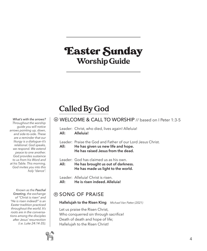# **Easter Sunday** Worship Guide

# Called By God

*What's with the arrows? Throughout the worship guide you will notice arrows pointing up, down, and side-to-side. These are a reminder that our liturgy is a dialogue–it's relational. God speaks, we respond. We extend peace to one another. God provides sustaince to us from his Word and at his Table. This morning, God invites you into this holy "dance".* 

*Known as the Paschal Greeting, the exchange of "Christ is risen" and "He is risen indeed!" is an Easter tradition practiced throughout the world. It's roots are in the conversations among the disciples after Jesus' resurrection (i.e. Luke 24:14-35).* 



## WELCOME & CALL TO WORSHIP // based on I Peter 1:3-5

Leader: Christ, who died, lives again! Alleluia! **All: Alleluia!**

Leader: Praise the God and Father of our Lord Jesus Christ.

**All: He has given us new life and hope. He has raised Jesus from the dead.**

Leader: God has claimed us as his own.

**All: He has brought us out of darkness. He has made us light to the world.**

Leader: Alleluia! Christ is risen. **All: He is risen indeed. Alleluia!**

## SONG OF PRAISE

**Hallelujah to the Risen King** *Michael Van Patter (2021)*

Let us praise the Risen Christ, Who conquerred sin through sacrifice! Death of death and hope of life; Hallelujah to the Risen Christ!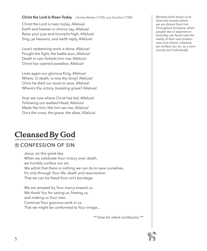### **Christ the Lord Is Risen Today** *Charles Wesley (1739), Lyra Davidica (1708)*

Christ the Lord is risen today, Alleluia! Earth and heaven in chorus say, Alleluia! Raise your joys and triumphs high, Alleluia! Sing, ye heavens, and earth reply, Alleluia!

Love's redeeming work is done, Alleluia! Fought the fight, the battle won, Alleluia! Death in vain forbids him rise, Alleluia! Christ has opened paradise, Alleluia!

Lives again our glorious King, Alleluia! Where, O death, is now thy sting? Alleluia! Once he died our souls to save, Alleluia! Where's thy victory, boasting grave? Alleluia!

Soar we now where Christ has led, Alleluia! Following our exalted Head, Alleluia! Made like him, like him we rise, Alleluia! Ours the cross, the grave, the skies, Alleluia!

# Cleansed By God

## CONFESSION OF SIN

Jesus, on this great day When we celebrate Your victory over death, we humbly confess our sin. We admit that there is nothing we can do to save ourselves. It's only through Your life, death and resurrection That we can be freed from sin's bondage.

We are amazed by Your mercy toward us. We thank You for saving us, freeing us, and making us Your own. Continue Your gracious work in us, That we might be conformed to Your image...

*\*\* time for silent confession \*\**



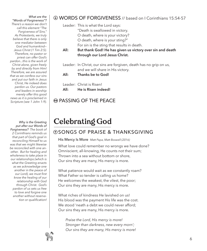*What are the "Words of Forgiveness"? There's a reason we don't call this element "The Forgiveness of Sins." As Protestants, we truly believe that there is only one mediator between God and humankind— Jesus Christ (1 Tim 2:5). Therefore, no pastor or priest can offer God's pardon...this is the work of Christ alone, given freely by and directly from Him! Therefore, we are assured that as we confess our sins and put our faith in Jesus Christ, He indeed does pardon us. Our pastors and leaders in worship merely offer this good news as it is proclaimed in Scripture (see 1 John 1:9).*

*Why is the Greeting put after our Words of Forgiveness? The book of 2 Corinthians reminds us that part of God's goal in reconciling Himself to us was that we might likewise be reconciled with one another. But for healing and wholeness to take place in our relationships (which is what the Greeting enacts as we acknowledge one another in the peace of our Lord), we must first know the healing of our relationship with God through Christ. God's pardon of us sets us free to love and forgive one another without reservation or qualification!*

## WORDS OF FORGIVENESS // based on I Corinthians 15:54-57

- Leader: This is what the Lord says: "Death is swallowed in victory. O death, where is your victory? O death, where is your sting?" For sin is the sting that results in death.
- **All: But thank God! He has given us victory over sin and death through our Lord Jesus Christ.**
- Leader: In Christ, our sins are forgiven, death has no grip on us, and we will share in His victory.
- **All: Thanks be to God!**

| All: | He is Risen indeed!      |
|------|--------------------------|
|      | Leader: Christ is Risen! |

## PASSING OF THE PEACE

# Celebrating God

# SONGS OF PRAISE & THANKSGIVING

### His Mercy Is More *Matt Papa, Matt Boswell (2016)*

What love could remember no wrongs we have done? Omniscient, all-knowing, He counts not their sum; Thrown into a sea without bottom or shore, Our sins they are many, His mercy is more.

What patience would wait as we constantly roam? What Father so tender is calling us home? He welcomes the weakest, the vilest, the poor; Our sins they are many, His mercy is more.

What riches of kindness He lavished on us! His blood was the payment His life was the cost. We stood 'neath a debt we could never afford: Our sins they are many, His mercy is more.

*Praise the Lord, His mercy is more! Stronger than darkness, new every morn'; Our sins they are many, His mercy is more!*

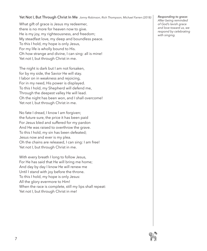### Yet Not I, But Through Christ In Me*Jonny Robinson, Rich Thompson, Michael Farren (2018)*

What gift of grace is Jesus my redeemer, there is no more for heaven now to give. He is my joy, my righteousness, and freedom; My steadfast love, my deep and boundless peace. To this I hold, my hope is only Jesus, For my life is wholly bound to His. Oh how strange and divine, I can sing: all is mine! Yet not I, but through Christ in me.

The night is dark but I am not forsaken, for by my side, the Savior He will stay. I labor on in weakness and rejoicing, For in my need, His power is displayed. To this I hold, my Shepherd will defend me, Through the deepest valley He will lead. Oh the night has been won, and I shall overcome! Yet not I, but through Christ in me.

No fate I dread, I know I am forgiven; the future sure, the price it has been paid For Jesus bled and suffered for my pardon And He was raised to overthrow the grave. To this I hold, my sin has been defeated; Jesus now and ever is my plea. Oh the chains are released, I can sing: I am free! Yet not I, but through Christ in me.

With every breath I long to follow Jesus, For He has said that He will bring me home; And day by day I know He will renew me Until I stand with joy before the throne. To this I hold, my hope is only Jesus: All the glory evermore to Him! When the race is complete, still my lips shall repeat: Yet not I, but through Christ in me!

*Responding to grace: After being reminded of God's lavish grace and love toward us, we respond by celebrating with singing.*

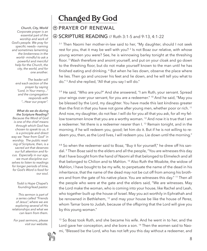# Changed By God

#### *Church, City, World Corporate prayer is an essential part of the worship and work of God's people. We pray for specific needs– naming and sometimes lamenting the brokenness in the world– mindful to ask a powerful and merciful help for the Church, the city, the world, and for one another.*

*The leader will end each section of the prayer by saying "Lord, in Your mercy..." and the congregation responds with "...Hear our prayer".*

*What do we do during the Scripture Reading? Because the Word of God is one of the chief means through which God has chosen to speak to us, it is a principle and direct way we "hear from God" in worship. The public reading of Scripture, then, is a sacred act that deserves our full attention and focus. Especially in our age, we must discipline ourselves to listen to readings for longer periods of time, for God's Word is food for our soul.*

#### *Todd is Hope Chapel's founding/lead pastor.*

*This sermon is part of a series called "Friends of Jesus", where we are exploring several of His relationships and what we can learn from them.*

*For past sermons, please visit our website.*



## PRAYER OF RENEWAL

## SCRIPTURE READING // Ruth 3:1-5 and 9-13, 4:1-22

<sup>3:1</sup> Then Naomi her mother-in-law said to her, "My daughter, should I not seek rest for you, that it may be well with you? <sup>2</sup> Is not Boaz our relative, with whose young women you were? See, he is winnowing barley tonight at the threshing floor. <sup>3</sup> Wash therefore and anoint yourself, and put on your cloak and go down to the threshing floor, but do not make yourself known to the man until he has finished eating and drinking. 4 But when he lies down, observe the place where he lies. Then go and uncover his feet and lie down, and he will tell you what to do." 5 And she replied, "All that you say I will do."

3:9 He said, "Who are you?" And she answered, "I am Ruth, your servant. Spread your wings over your servant, for you are a redeemer." <sup>10</sup> And he said, "May you be blessed by the Lord, my daughter. You have made this last kindness greater than the first in that you have not gone after young men, whether poor or rich.<sup>11</sup> And now, my daughter, do not fear. I will do for you all that you ask, for all my fellow townsmen know that you are a worthy woman.<sup>12</sup> And now it is true that I am a redeemer. Yet there is a redeemer nearer than I. 13 Remain tonight, and in the morning, if he will redeem you, good; let him do it. But if he is not willing to redeem you, then, as the Lord lives, I will redeem you. Lie down until the morning."

4:8 So when the redeemer said to Boaz, "Buy it for yourself," he drew off his sandal. 9 Then Boaz said to the elders and all the people, "You are witnesses this day that I have bought from the hand of Naomi all that belonged to Elimelech and all that belonged to Chilion and to Mahlon. 10 Also Ruth the Moabite, the widow of Mahlon, I have bought to be my wife, to perpetuate the name of the dead in his inheritance, that the name of the dead may not be cut off from among his brothers and from the gate of his native place. You are witnesses this day." 11 Then all the people who were at the gate and the elders said, "We are witnesses. May the Lord make the woman, who is coming into your house, like Rachel and Leah, who together built up the house of Israel. May you act worthily in Ephrathah and be renowned in Bethlehem, 12 and may your house be like the house of Perez, whom Tamar bore to Judah, because of the offspring that the Lord will give you by this young woman."

<sup>13</sup> So Boaz took Ruth, and she became his wife. And he went in to her, and the Lord gave her conception, and she bore a son. 14 Then the women said to Naomi, "Blessed be the Lord, who has not left you this day without a redeemer, and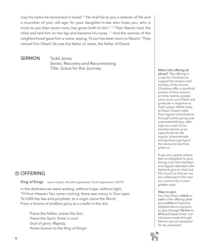may his name be renowned in Israel! 15 He shall be to you a restorer of life and a nourisher of your old age, for your daughter-in-law who loves you, who is more to you than seven sons, has given birth to him." <sup>16</sup> Then Naomi took the child and laid him on her lap and became his nurse. 17 And the women of the neighborhood gave him a name, saying, "A son has been born to Naomi." They named him Obed. He was the father of Jesse, the father of David.

### SERMONTodd Jones

 Series: Recovery and Reconnecting Title: Grace for the Journey

## OFFERING

King of Kings *Jason Ingram, Brooke Ligertwood, Scott Ligertwood (2019)*

In the darkness we were waiting, without hope, without light, 'Til from Heaven You came running, there was mercy in Your eyes. To fulfill the law and prophets, to a virgin came the Word; From a throne of endless glory to a cradle in the dirt.

*Praise the Father, praise the Son, Praise the Spirit, three in one! God of glory, Majesty, Praise forever to the King of Kings!* *What's the offering all about? The offering is a way for Christians to support the mission and ministry of the church. Christians offer a sacrificial portion of their resources–time, talents, possessions–as an act of faith and gratitude in response to God's grace. While many at Hope Chapel make their regular contributions through online giving and automated bill pay, offerings are a part of our worship service as an opportunity for the regular, proportionate and generous giving of the resources God has given us.*

*If you are a guest, please feel no obligation to give. Giving is for the members and regular attenders who desire to give to God and His church so that we can be a blessing to Him and our community in even greater ways.* 

#### *Ways to give:*

*You may drop a check or cash in the offering plate, give online at hopechapelgreensboro.org/give, or give through Venmo to @HopeChapel (note: contributions made through Venmo are not receipted for tax purposes).*

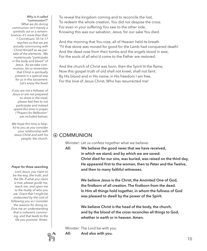*Why is it called "communion?" What we do during communion isn't merely a symbolic act or a remembrance—it's more than that. 1 Corinthians 10:16-17 teaches us that we are actually communing with Christ Himself as we partake of the elements. We mysteriously "participate in the body and blood" of Jesus. As we take communion, let us remember that Christ is spiritually present in a special way for us in this sacrament. Let's enjoy the feast!*

*If you are not a follower of Jesus or are not prepared to share in the meal, please feel free to not participate and instead spend this time in prayer ("Prayers for Reflection" are included below).* 

*We hope this time is helpful to you as you consider your relationship with Jesus Christ and with his people, the church.*

#### *Prayer for those searching*

*Lord Jesus, you claim to be the way, the truth, and the life. If what you claim is true, please guide me, teach me, and open me to the reality of who you are. Grant that I might be undaunted by the cost of following you as I consider the reasons for doing so. Give me an understanding that is coherent, convincing, and that leads to the life you promise. Amen.*

To reveal the kingdom coming and to reconcile the lost, To redeem the whole creation, You did not despise the cross. For even in your suffering You saw to the other side, Knowing this was our salvation, Jesus, for our sake You died.

And the morning that You rose, all of Heaven held its breath 'Til that stone was moved for good for the Lamb had conquered death! And the dead rose from their tombs and the angels stood in awe, For the souls of all who'd come to the Father are restored.

And the church of Christ was born, then the Spirit lit the flame, Now this gospel truth of old shall not kneel, shall not faint. By His blood and in His name, in His freedom I am free, For the love of Jesus Christ, Who has resurrected me!

## COMMUNION

Minister: Let us confess together what we believe:

**All: We believe the good news that we have received, in which we stand, and by which we are saved: Christ died for our sins, was buried, was raised on the third day, He appeared first to the women, then to Peter and the Twelve, and then to many faithful witnesses.**

> **We believe Jesus is the Christ, the Anointed One of God, the firstborn of all creation. The firstborn from the dead. In Him all things hold together, in whom the fullness of God was pleased to dwell by the power of the Spirit.**

 **We believe Christ is the head of the body, the church, and by the blood of the cross reconciles all things to God, whether in earth or in heaven. Amen.**

Minister: The Lord be with you.

**All: And also with you.**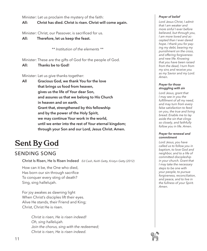Minister: Let us proclaim the mystery of the faith:

### **All: Christ has died. Christ is risen. Christ will come again.**

Minister: Christ, our Passover, is sacrificed for us.

**All: Therefore, let us keep the feast.**

 *\*\* Institution of the elements \*\**

Minister: These are the gifts of God for the people of God. **All: Thanks be to God!**

Minister: Let us give thanks together:

**All Gracious God, we thank You for the love that brings us food from heaven, gives us the life of Your dear Son, and assures us that we belong to His Church in heaven and on earth. Grant that, strengthened by this fellowship and by the power of the Holy Spirit, we may continue Your work in the world, until we enter into the rest of Your eternal kingdom; through your Son and our Lord, Jesus Christ. Amen.**

# Sent By God

## SENDING SONG

Christ Is Risen, He Is Risen Indeed *Ed Cash, Keith Getty, Kristyn Getty (2012)*

How can it be, the One who died, Has born our sin through sacrifice To conquer every sting of death? Sing, sing hallelujah.

For joy awakes as dawning light When Christ's disciples lift their eyes. Alive He stands, their Friend and King; Christ, Christ He is risen.

> *Christ is risen, He is risen indeed! Oh, sing hallelujah. Join the chorus, sing with the redeemed; Christ is risen, He is risen indeed.*

### *Prayer of belief*

*Lord Jesus Christ, I admit that I am weaker and more sinful I ever before believed, but through you, I am more loved and accepted than I ever dared hope. I thank you for paying my debt, bearing my punishment on the cross, and offering forgiveness and new life. Knowing that you have been raised from the dead, I turn from my sins and receive you as my Savior and my Lord. Amen.*

#### *Prayer for those struggling with sin*

*Lord Jesus, grant that I may see in you the fulfillment of all my need, and may turn from every false satisfaction to feed on you, the true and living bread. Enable me to lay aside the sin that clings so closely, and faithfully follow you in life. Amen.*

#### *Prayer for renewal and commitment*

*Lord Jesus, you have called us to follow you in baptism, to love God and neighbor, and to a life of committed discipleship in your church. Grant that I may take the necessary steps to be one with your people, to pursue forgiveness, reconciliation, and peace, and to live in the fullness of your Spirit. Amen.*